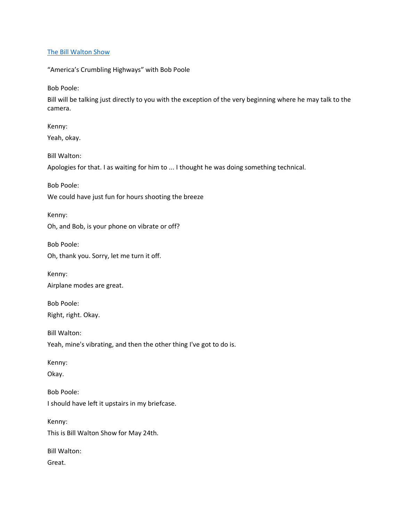### [The Bill Walton Show](https://thebillwaltonshow.com/)

"America's Crumbling Highways" with Bob Poole

Bob Poole:

Bill will be talking just directly to you with the exception of the very beginning where he may talk to the camera.

Kenny: Yeah, okay.

Bill Walton:

Apologies for that. I as waiting for him to ... I thought he was doing something technical.

Bob Poole:

We could have just fun for hours shooting the breeze

Kenny: Oh, and Bob, is your phone on vibrate or off?

Bob Poole: Oh, thank you. Sorry, let me turn it off.

Kenny: Airplane modes are great.

Bob Poole: Right, right. Okay.

Bill Walton: Yeah, mine's vibrating, and then the other thing I've got to do is.

Kenny:

Okay.

Bob Poole: I should have left it upstairs in my briefcase.

Kenny: This is Bill Walton Show for May 24th.

Bill Walton: Great.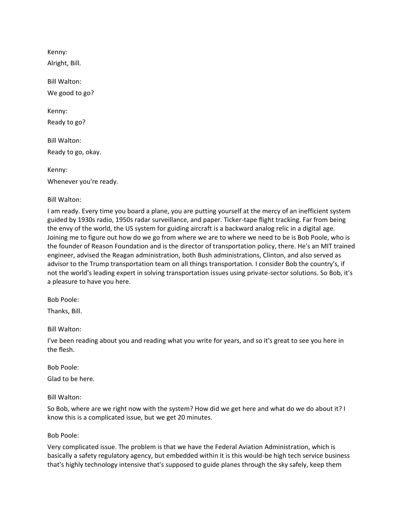Kenny: Alright, Bill.

Bill Walton: We good to go?

Kenny: Ready to go?

Bill Walton: Ready to go, okay.

Kenny:

Whenever you're ready.

Bill Walton:

I am ready. Every time you board a plane, you are putting yourself at the mercy of an inefficient system guided by 1930s radio, 1950s radar surveillance, and paper. Ticker-tape flight tracking. Far from being the envy of the world, the US system for guiding aircraft is a backward analog relic in a digital age. Joining me to figure out how do we go from where we are to where we need to be is Bob Poole, who is the founder of Reason Foundation and is the director of transportation policy, there. He's an MIT trained engineer, advised the Reagan administration, both Bush administrations, Clinton, and also served as advisor to the Trump transportation team on all things transportation. I consider Bob the country's, if not the world's leading expert in solving transportation issues using private-sector solutions. So Bob, it's a pleasure to have you here.

Bob Poole:

Thanks, Bill.

Bill Walton:

I've been reading about you and reading what you write for years, and so it's great to see you here in the flesh.

Bob Poole:

Glad to be here.

Bill Walton:

So Bob, where are we right now with the system? How did we get here and what do we do about it? I know this is a complicated issue, but we get 20 minutes.

Bob Poole:

Very complicated issue. The problem is that we have the Federal Aviation Administration, which is basically a safety regulatory agency, but embedded within it is this would-be high tech service business that's highly technology intensive that's supposed to guide planes through the sky safely, keep them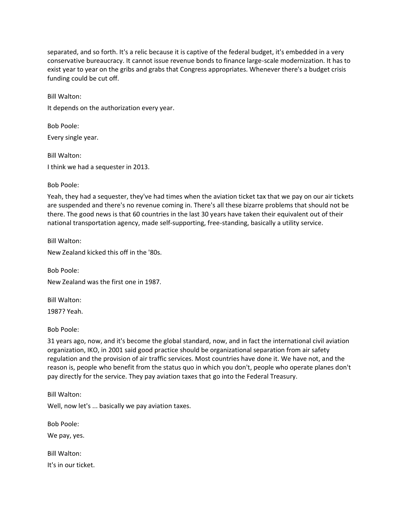separated, and so forth. It's a relic because it is captive of the federal budget, it's embedded in a very conservative bureaucracy. It cannot issue revenue bonds to finance large-scale modernization. It has to exist year to year on the gribs and grabs that Congress appropriates. Whenever there's a budget crisis funding could be cut off.

Bill Walton: It depends on the authorization every year.

Bob Poole: Every single year.

Bill Walton: I think we had a sequester in 2013.

# Bob Poole:

Yeah, they had a sequester, they've had times when the aviation ticket tax that we pay on our air tickets are suspended and there's no revenue coming in. There's all these bizarre problems that should not be there. The good news is that 60 countries in the last 30 years have taken their equivalent out of their national transportation agency, made self-supporting, free-standing, basically a utility service.

Bill Walton:

New Zealand kicked this off in the '80s.

Bob Poole:

New Zealand was the first one in 1987.

Bill Walton: 1987? Yeah.

Bob Poole:

31 years ago, now, and it's become the global standard, now, and in fact the international civil aviation organization, IKO, in 2001 said good practice should be organizational separation from air safety regulation and the provision of air traffic services. Most countries have done it. We have not, and the reason is, people who benefit from the status quo in which you don't, people who operate planes don't pay directly for the service. They pay aviation taxes that go into the Federal Treasury.

Bill Walton:

Well, now let's ... basically we pay aviation taxes.

Bob Poole:

We pay, yes.

Bill Walton: It's in our ticket.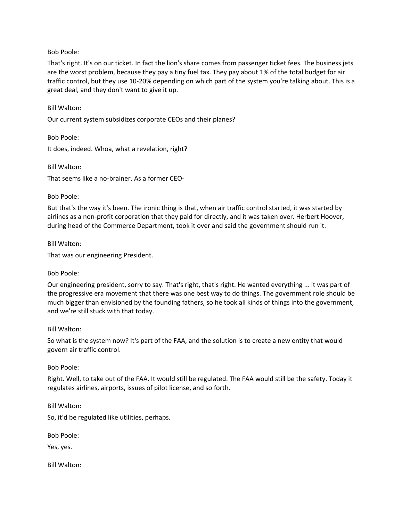That's right. It's on our ticket. In fact the lion's share comes from passenger ticket fees. The business jets are the worst problem, because they pay a tiny fuel tax. They pay about 1% of the total budget for air traffic control, but they use 10-20% depending on which part of the system you're talking about. This is a great deal, and they don't want to give it up.

Bill Walton:

Our current system subsidizes corporate CEOs and their planes?

Bob Poole:

It does, indeed. Whoa, what a revelation, right?

Bill Walton:

That seems like a no-brainer. As a former CEO-

Bob Poole:

But that's the way it's been. The ironic thing is that, when air traffic control started, it was started by airlines as a non-profit corporation that they paid for directly, and it was taken over. Herbert Hoover, during head of the Commerce Department, took it over and said the government should run it.

Bill Walton:

That was our engineering President.

Bob Poole:

Our engineering president, sorry to say. That's right, that's right. He wanted everything ... it was part of the progressive era movement that there was one best way to do things. The government role should be much bigger than envisioned by the founding fathers, so he took all kinds of things into the government, and we're still stuck with that today.

Bill Walton:

So what is the system now? It's part of the FAA, and the solution is to create a new entity that would govern air traffic control.

Bob Poole:

Right. Well, to take out of the FAA. It would still be regulated. The FAA would still be the safety. Today it regulates airlines, airports, issues of pilot license, and so forth.

Bill Walton:

So, it'd be regulated like utilities, perhaps.

Bob Poole:

Yes, yes.

Bill Walton: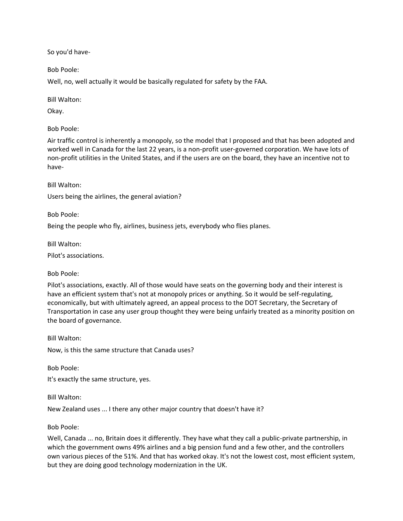So you'd have-

Bob Poole:

Well, no, well actually it would be basically regulated for safety by the FAA.

Bill Walton:

Okay.

Bob Poole:

Air traffic control is inherently a monopoly, so the model that I proposed and that has been adopted and worked well in Canada for the last 22 years, is a non-profit user-governed corporation. We have lots of non-profit utilities in the United States, and if the users are on the board, they have an incentive not to have-

Bill Walton: Users being the airlines, the general aviation?

Bob Poole:

Being the people who fly, airlines, business jets, everybody who flies planes.

Bill Walton:

Pilot's associations.

Bob Poole:

Pilot's associations, exactly. All of those would have seats on the governing body and their interest is have an efficient system that's not at monopoly prices or anything. So it would be self-regulating, economically, but with ultimately agreed, an appeal process to the DOT Secretary, the Secretary of Transportation in case any user group thought they were being unfairly treated as a minority position on the board of governance.

Bill Walton:

Now, is this the same structure that Canada uses?

Bob Poole:

It's exactly the same structure, yes.

Bill Walton:

New Zealand uses ... I there any other major country that doesn't have it?

Bob Poole:

Well, Canada ... no, Britain does it differently. They have what they call a public-private partnership, in which the government owns 49% airlines and a big pension fund and a few other, and the controllers own various pieces of the 51%. And that has worked okay. It's not the lowest cost, most efficient system, but they are doing good technology modernization in the UK.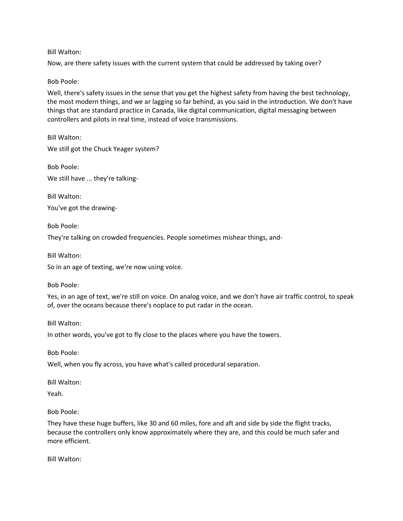Now, are there safety issues with the current system that could be addressed by taking over?

### Bob Poole:

Well, there's safety issues in the sense that you get the highest safety from having the best technology, the most modern things, and we ar lagging so far behind, as you said in the introduction. We don't have things that are standard practice in Canada, like digital communication, digital messaging between controllers and pilots in real time, instead of voice transmissions.

Bill Walton: We still got the Chuck Yeager system?

Bob Poole: We still have ... they're talking-

Bill Walton: You've got the drawing-

Bob Poole:

They're talking on crowded frequencies. People sometimes mishear things, and-

Bill Walton:

So in an age of texting, we're now using voice.

Bob Poole:

Yes, in an age of text, we're still on voice. On analog voice, and we don't have air traffic control, to speak of, over the oceans because there's noplace to put radar in the ocean.

Bill Walton:

In other words, you've got to fly close to the places where you have the towers.

Bob Poole:

Well, when you fly across, you have what's called procedural separation.

Bill Walton:

Yeah.

Bob Poole:

They have these huge buffers, like 30 and 60 miles, fore and aft and side by side the flight tracks, because the controllers only know approximately where they are, and this could be much safer and more efficient.

Bill Walton: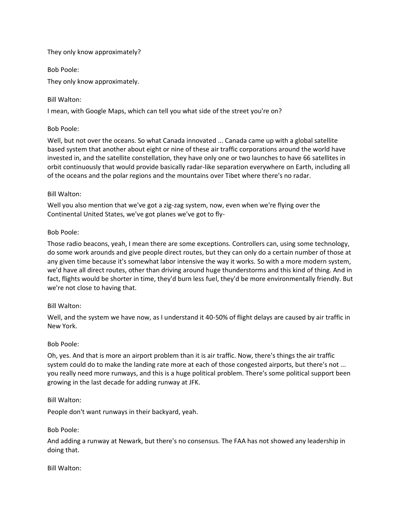## They only know approximately?

Bob Poole:

They only know approximately.

Bill Walton:

I mean, with Google Maps, which can tell you what side of the street you're on?

## Bob Poole:

Well, but not over the oceans. So what Canada innovated ... Canada came up with a global satellite based system that another about eight or nine of these air traffic corporations around the world have invested in, and the satellite constellation, they have only one or two launches to have 66 satellites in orbit continuously that would provide basically radar-like separation everywhere on Earth, including all of the oceans and the polar regions and the mountains over Tibet where there's no radar.

## Bill Walton:

Well you also mention that we've got a zig-zag system, now, even when we're flying over the Continental United States, we've got planes we've got to fly-

## Bob Poole:

Those radio beacons, yeah, I mean there are some exceptions. Controllers can, using some technology, do some work arounds and give people direct routes, but they can only do a certain number of those at any given time because it's somewhat labor intensive the way it works. So with a more modern system, we'd have all direct routes, other than driving around huge thunderstorms and this kind of thing. And in fact, flights would be shorter in time, they'd burn less fuel, they'd be more environmentally friendly. But we're not close to having that.

# Bill Walton:

Well, and the system we have now, as I understand it 40-50% of flight delays are caused by air traffic in New York.

# Bob Poole:

Oh, yes. And that is more an airport problem than it is air traffic. Now, there's things the air traffic system could do to make the landing rate more at each of those congested airports, but there's not ... you really need more runways, and this is a huge political problem. There's some political support been growing in the last decade for adding runway at JFK.

## Bill Walton:

People don't want runways in their backyard, yeah.

## Bob Poole:

And adding a runway at Newark, but there's no consensus. The FAA has not showed any leadership in doing that.

## Bill Walton: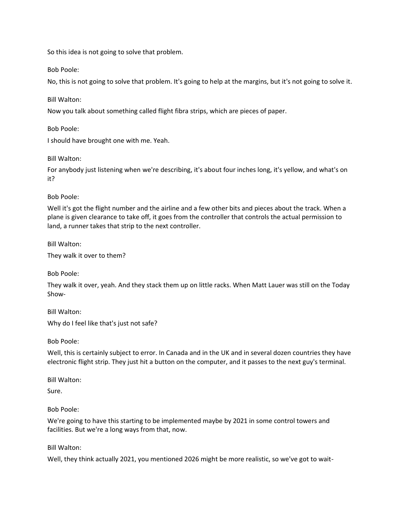So this idea is not going to solve that problem.

Bob Poole:

No, this is not going to solve that problem. It's going to help at the margins, but it's not going to solve it.

Bill Walton:

Now you talk about something called flight fibra strips, which are pieces of paper.

Bob Poole:

I should have brought one with me. Yeah.

Bill Walton:

For anybody just listening when we're describing, it's about four inches long, it's yellow, and what's on it?

Bob Poole:

Well it's got the flight number and the airline and a few other bits and pieces about the track. When a plane is given clearance to take off, it goes from the controller that controls the actual permission to land, a runner takes that strip to the next controller.

Bill Walton:

They walk it over to them?

Bob Poole:

They walk it over, yeah. And they stack them up on little racks. When Matt Lauer was still on the Today Show-

Bill Walton:

Why do I feel like that's just not safe?

Bob Poole:

Well, this is certainly subject to error. In Canada and in the UK and in several dozen countries they have electronic flight strip. They just hit a button on the computer, and it passes to the next guy's terminal.

Bill Walton:

Sure.

Bob Poole:

We're going to have this starting to be implemented maybe by 2021 in some control towers and facilities. But we're a long ways from that, now.

Bill Walton:

Well, they think actually 2021, you mentioned 2026 might be more realistic, so we've got to wait-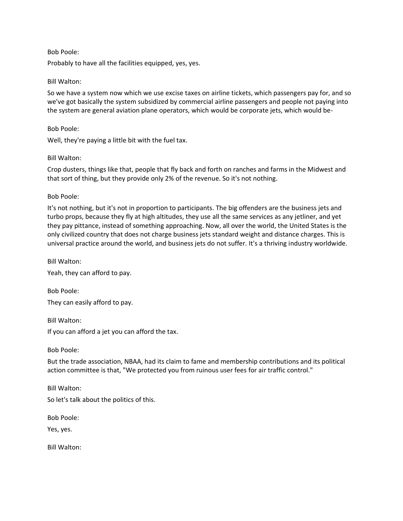Probably to have all the facilities equipped, yes, yes.

#### Bill Walton:

So we have a system now which we use excise taxes on airline tickets, which passengers pay for, and so we've got basically the system subsidized by commercial airline passengers and people not paying into the system are general aviation plane operators, which would be corporate jets, which would be-

Bob Poole:

Well, they're paying a little bit with the fuel tax.

#### Bill Walton:

Crop dusters, things like that, people that fly back and forth on ranches and farms in the Midwest and that sort of thing, but they provide only 2% of the revenue. So it's not nothing.

Bob Poole:

It's not nothing, but it's not in proportion to participants. The big offenders are the business jets and turbo props, because they fly at high altitudes, they use all the same services as any jetliner, and yet they pay pittance, instead of something approaching. Now, all over the world, the United States is the only civilized country that does not charge business jets standard weight and distance charges. This is universal practice around the world, and business jets do not suffer. It's a thriving industry worldwide.

Bill Walton:

Yeah, they can afford to pay.

Bob Poole: They can easily afford to pay.

Bill Walton:

If you can afford a jet you can afford the tax.

Bob Poole:

But the trade association, NBAA, had its claim to fame and membership contributions and its political action committee is that, "We protected you from ruinous user fees for air traffic control."

Bill Walton: So let's talk about the politics of this.

Bob Poole:

Yes, yes.

Bill Walton: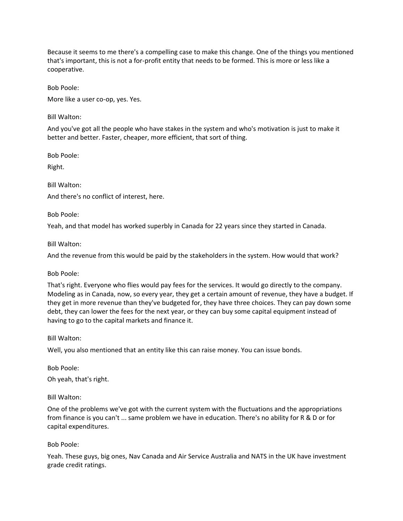Because it seems to me there's a compelling case to make this change. One of the things you mentioned that's important, this is not a for-profit entity that needs to be formed. This is more or less like a cooperative.

Bob Poole:

More like a user co-op, yes. Yes.

Bill Walton:

And you've got all the people who have stakes in the system and who's motivation is just to make it better and better. Faster, cheaper, more efficient, that sort of thing.

Bob Poole:

Right.

Bill Walton:

And there's no conflict of interest, here.

Bob Poole:

Yeah, and that model has worked superbly in Canada for 22 years since they started in Canada.

Bill Walton:

And the revenue from this would be paid by the stakeholders in the system. How would that work?

Bob Poole:

That's right. Everyone who flies would pay fees for the services. It would go directly to the company. Modeling as in Canada, now, so every year, they get a certain amount of revenue, they have a budget. If they get in more revenue than they've budgeted for, they have three choices. They can pay down some debt, they can lower the fees for the next year, or they can buy some capital equipment instead of having to go to the capital markets and finance it.

Bill Walton:

Well, you also mentioned that an entity like this can raise money. You can issue bonds.

Bob Poole:

Oh yeah, that's right.

Bill Walton:

One of the problems we've got with the current system with the fluctuations and the appropriations from finance is you can't ... same problem we have in education. There's no ability for R & D or for capital expenditures.

Bob Poole:

Yeah. These guys, big ones, Nav Canada and Air Service Australia and NATS in the UK have investment grade credit ratings.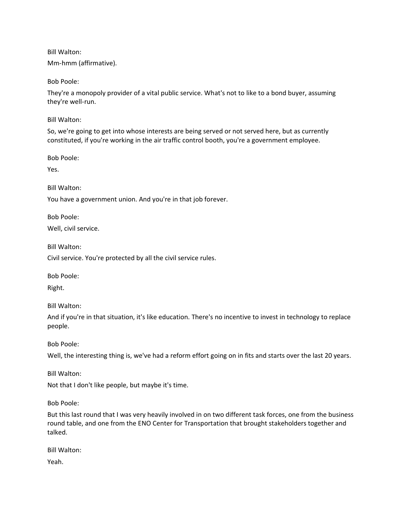Mm-hmm (affirmative).

Bob Poole:

They're a monopoly provider of a vital public service. What's not to like to a bond buyer, assuming they're well-run.

Bill Walton:

So, we're going to get into whose interests are being served or not served here, but as currently constituted, if you're working in the air traffic control booth, you're a government employee.

Bob Poole:

Yes.

Bill Walton:

You have a government union. And you're in that job forever.

Bob Poole:

Well, civil service.

Bill Walton:

Civil service. You're protected by all the civil service rules.

Bob Poole:

Right.

Bill Walton:

And if you're in that situation, it's like education. There's no incentive to invest in technology to replace people.

Bob Poole:

Well, the interesting thing is, we've had a reform effort going on in fits and starts over the last 20 years.

Bill Walton:

Not that I don't like people, but maybe it's time.

Bob Poole:

But this last round that I was very heavily involved in on two different task forces, one from the business round table, and one from the ENO Center for Transportation that brought stakeholders together and talked.

Bill Walton:

Yeah.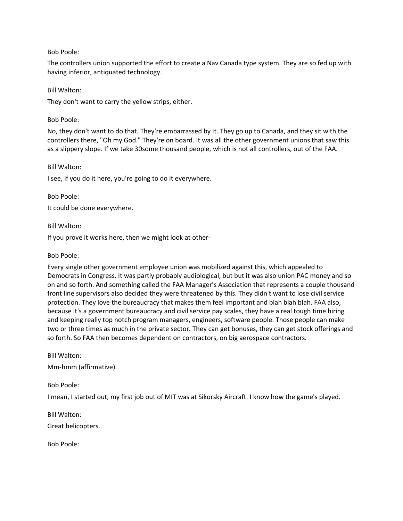The controllers union supported the effort to create a Nav Canada type system. They are so fed up with having inferior, antiquated technology.

#### Bill Walton:

They don't want to carry the yellow strips, either.

Bob Poole:

No, they don't want to do that. They're embarrassed by it. They go up to Canada, and they sit with the controllers there, "Oh my God." They're on board. It was all the other government unions that saw this as a slippery slope. If we take 30some thousand people, which is not all controllers, out of the FAA.

Bill Walton:

I see, if you do it here, you're going to do it everywhere.

Bob Poole:

It could be done everywhere.

Bill Walton:

If you prove it works here, then we might look at other-

Bob Poole:

Every single other government employee union was mobilized against this, which appealed to Democrats in Congress. It was partly probably audiological, but but it was also union PAC money and so on and so forth. And something called the FAA Manager's Association that represents a couple thousand front line supervisors also decided they were threatened by this. They didn't want to lose civil service protection. They love the bureaucracy that makes them feel important and blah blah blah. FAA also, because it's a government bureaucracy and civil service pay scales, they have a real tough time hiring and keeping really top notch program managers, engineers, software people. Those people can make two or three times as much in the private sector. They can get bonuses, they can get stock offerings and so forth. So FAA then becomes dependent on contractors, on big aerospace contractors.

Bill Walton:

Mm-hmm (affirmative).

Bob Poole:

I mean, I started out, my first job out of MIT was at Sikorsky Aircraft. I know how the game's played.

Bill Walton:

Great helicopters.

Bob Poole: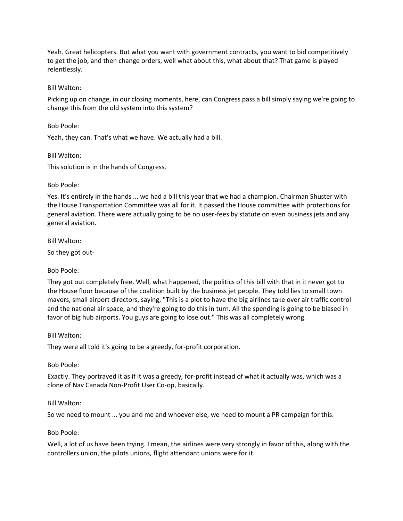Yeah. Great helicopters. But what you want with government contracts, you want to bid competitively to get the job, and then change orders, well what about this, what about that? That game is played relentlessly.

### Bill Walton:

Picking up on change, in our closing moments, here, can Congress pass a bill simply saying we're going to change this from the old system into this system?

Bob Poole:

Yeah, they can. That's what we have. We actually had a bill.

Bill Walton:

This solution is in the hands of Congress.

#### Bob Poole:

Yes. It's entirely in the hands ... we had a bill this year that we had a champion. Chairman Shuster with the House Transportation Committee was all for it. It passed the House committee with protections for general aviation. There were actually going to be no user-fees by statute on even business jets and any general aviation.

Bill Walton:

So they got out-

## Bob Poole:

They got out completely free. Well, what happened, the politics of this bill with that in it never got to the House floor because of the coalition built by the business jet people. They told lies to small town mayors, small airport directors, saying, "This is a plot to have the big airlines take over air traffic control and the national air space, and they're going to do this in turn. All the spending is going to be biased in favor of big hub airports. You guys are going to lose out." This was all completely wrong.

#### Bill Walton:

They were all told it's going to be a greedy, for-profit corporation.

Bob Poole:

Exactly. They portrayed it as if it was a greedy, for-profit instead of what it actually was, which was a clone of Nav Canada Non-Profit User Co-op, basically.

## Bill Walton:

So we need to mount ... you and me and whoever else, we need to mount a PR campaign for this.

## Bob Poole:

Well, a lot of us have been trying. I mean, the airlines were very strongly in favor of this, along with the controllers union, the pilots unions, flight attendant unions were for it.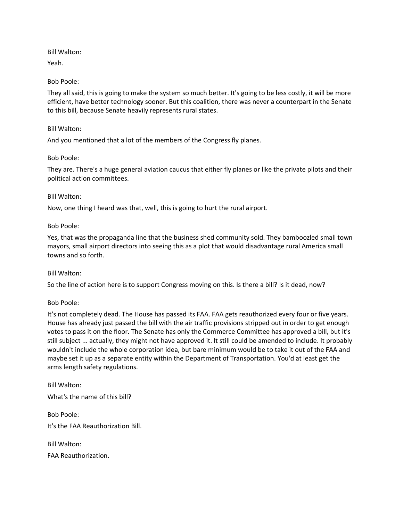Yeah.

## Bob Poole:

They all said, this is going to make the system so much better. It's going to be less costly, it will be more efficient, have better technology sooner. But this coalition, there was never a counterpart in the Senate to this bill, because Senate heavily represents rural states.

## Bill Walton:

And you mentioned that a lot of the members of the Congress fly planes.

## Bob Poole:

They are. There's a huge general aviation caucus that either fly planes or like the private pilots and their political action committees.

## Bill Walton:

Now, one thing I heard was that, well, this is going to hurt the rural airport.

## Bob Poole:

Yes, that was the propaganda line that the business shed community sold. They bamboozled small town mayors, small airport directors into seeing this as a plot that would disadvantage rural America small towns and so forth.

## Bill Walton:

So the line of action here is to support Congress moving on this. Is there a bill? Is it dead, now?

## Bob Poole:

It's not completely dead. The House has passed its FAA. FAA gets reauthorized every four or five years. House has already just passed the bill with the air traffic provisions stripped out in order to get enough votes to pass it on the floor. The Senate has only the Commerce Committee has approved a bill, but it's still subject ... actually, they might not have approved it. It still could be amended to include. It probably wouldn't include the whole corporation idea, but bare minimum would be to take it out of the FAA and maybe set it up as a separate entity within the Department of Transportation. You'd at least get the arms length safety regulations.

Bill Walton: What's the name of this bill?

Bob Poole: It's the FAA Reauthorization Bill.

Bill Walton: FAA Reauthorization.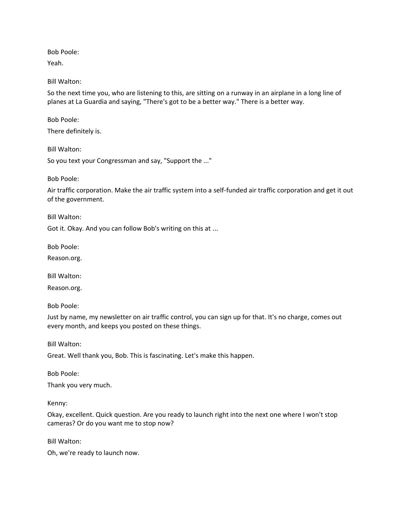Yeah.

Bill Walton:

So the next time you, who are listening to this, are sitting on a runway in an airplane in a long line of planes at La Guardia and saying, "There's got to be a better way." There is a better way.

Bob Poole:

There definitely is.

Bill Walton:

So you text your Congressman and say, "Support the ..."

Bob Poole:

Air traffic corporation. Make the air traffic system into a self-funded air traffic corporation and get it out of the government.

Bill Walton:

Got it. Okay. And you can follow Bob's writing on this at ...

Bob Poole:

Reason.org.

Bill Walton:

Reason.org.

Bob Poole:

Just by name, my newsletter on air traffic control, you can sign up for that. It's no charge, comes out every month, and keeps you posted on these things.

Bill Walton:

Great. Well thank you, Bob. This is fascinating. Let's make this happen.

Bob Poole:

Thank you very much.

Kenny:

Okay, excellent. Quick question. Are you ready to launch right into the next one where I won't stop cameras? Or do you want me to stop now?

Bill Walton:

Oh, we're ready to launch now.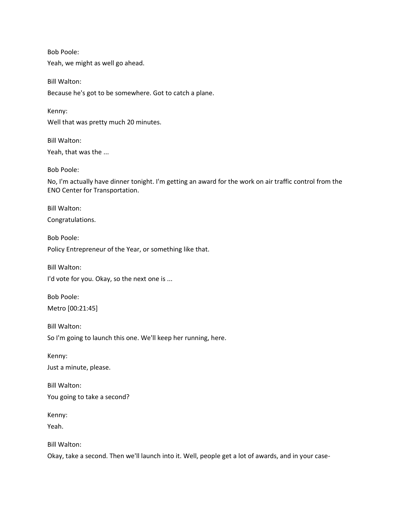Bob Poole: Yeah, we might as well go ahead.

Bill Walton: Because he's got to be somewhere. Got to catch a plane.

Kenny: Well that was pretty much 20 minutes.

Bill Walton: Yeah, that was the ...

Bob Poole:

No, I'm actually have dinner tonight. I'm getting an award for the work on air traffic control from the ENO Center for Transportation.

Bill Walton:

Congratulations.

Bob Poole: Policy Entrepreneur of the Year, or something like that.

Bill Walton:

I'd vote for you. Okay, so the next one is ...

Bob Poole: Metro [00:21:45]

Bill Walton:

So I'm going to launch this one. We'll keep her running, here.

Kenny:

Just a minute, please.

Bill Walton: You going to take a second?

Kenny:

Yeah.

Bill Walton:

Okay, take a second. Then we'll launch into it. Well, people get a lot of awards, and in your case-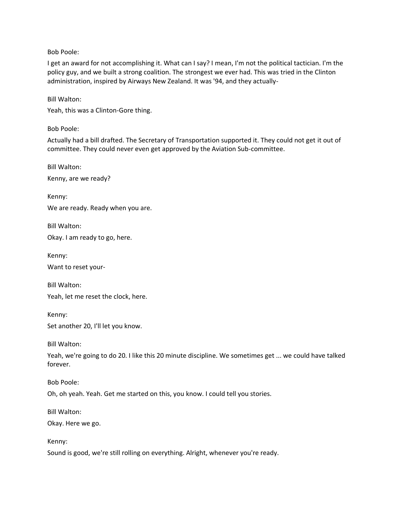I get an award for not accomplishing it. What can I say? I mean, I'm not the political tactician. I'm the policy guy, and we built a strong coalition. The strongest we ever had. This was tried in the Clinton administration, inspired by Airways New Zealand. It was '94, and they actually-

Bill Walton:

Yeah, this was a Clinton-Gore thing.

Bob Poole:

Actually had a bill drafted. The Secretary of Transportation supported it. They could not get it out of committee. They could never even get approved by the Aviation Sub-committee.

Bill Walton:

Kenny, are we ready?

Kenny:

We are ready. Ready when you are.

Bill Walton:

Okay. I am ready to go, here.

Kenny:

Want to reset your-

Bill Walton: Yeah, let me reset the clock, here.

Kenny: Set another 20, I'll let you know.

Bill Walton:

Yeah, we're going to do 20. I like this 20 minute discipline. We sometimes get ... we could have talked forever.

Bob Poole:

Oh, oh yeah. Yeah. Get me started on this, you know. I could tell you stories.

Bill Walton:

Okay. Here we go.

Kenny:

Sound is good, we're still rolling on everything. Alright, whenever you're ready.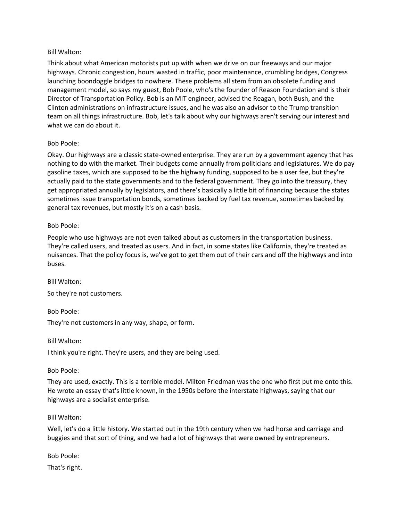Think about what American motorists put up with when we drive on our freeways and our major highways. Chronic congestion, hours wasted in traffic, poor maintenance, crumbling bridges, Congress launching boondoggle bridges to nowhere. These problems all stem from an obsolete funding and management model, so says my guest, Bob Poole, who's the founder of Reason Foundation and is their Director of Transportation Policy. Bob is an MIT engineer, advised the Reagan, both Bush, and the Clinton administrations on infrastructure issues, and he was also an advisor to the Trump transition team on all things infrastructure. Bob, let's talk about why our highways aren't serving our interest and what we can do about it.

## Bob Poole:

Okay. Our highways are a classic state-owned enterprise. They are run by a government agency that has nothing to do with the market. Their budgets come annually from politicians and legislatures. We do pay gasoline taxes, which are supposed to be the highway funding, supposed to be a user fee, but they're actually paid to the state governments and to the federal government. They go into the treasury, they get appropriated annually by legislators, and there's basically a little bit of financing because the states sometimes issue transportation bonds, sometimes backed by fuel tax revenue, sometimes backed by general tax revenues, but mostly it's on a cash basis.

## Bob Poole:

People who use highways are not even talked about as customers in the transportation business. They're called users, and treated as users. And in fact, in some states like California, they're treated as nuisances. That the policy focus is, we've got to get them out of their cars and off the highways and into buses.

Bill Walton: So they're not customers.

Bob Poole:

They're not customers in any way, shape, or form.

Bill Walton:

I think you're right. They're users, and they are being used.

Bob Poole:

They are used, exactly. This is a terrible model. Milton Friedman was the one who first put me onto this. He wrote an essay that's little known, in the 1950s before the interstate highways, saying that our highways are a socialist enterprise.

## Bill Walton:

Well, let's do a little history. We started out in the 19th century when we had horse and carriage and buggies and that sort of thing, and we had a lot of highways that were owned by entrepreneurs.

Bob Poole:

That's right.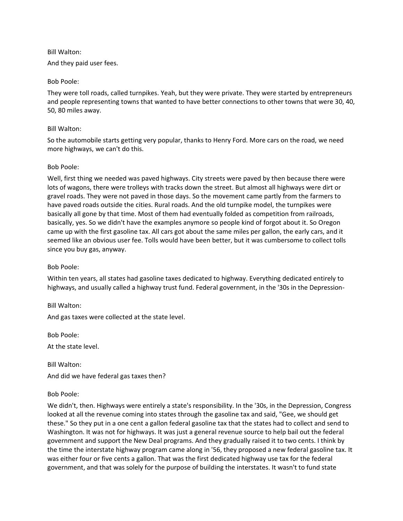And they paid user fees.

#### Bob Poole:

They were toll roads, called turnpikes. Yeah, but they were private. They were started by entrepreneurs and people representing towns that wanted to have better connections to other towns that were 30, 40, 50, 80 miles away.

#### Bill Walton:

So the automobile starts getting very popular, thanks to Henry Ford. More cars on the road, we need more highways, we can't do this.

#### Bob Poole:

Well, first thing we needed was paved highways. City streets were paved by then because there were lots of wagons, there were trolleys with tracks down the street. But almost all highways were dirt or gravel roads. They were not paved in those days. So the movement came partly from the farmers to have paved roads outside the cities. Rural roads. And the old turnpike model, the turnpikes were basically all gone by that time. Most of them had eventually folded as competition from railroads, basically, yes. So we didn't have the examples anymore so people kind of forgot about it. So Oregon came up with the first gasoline tax. All cars got about the same miles per gallon, the early cars, and it seemed like an obvious user fee. Tolls would have been better, but it was cumbersome to collect tolls since you buy gas, anyway.

## Bob Poole:

Within ten years, all states had gasoline taxes dedicated to highway. Everything dedicated entirely to highways, and usually called a highway trust fund. Federal government, in the '30s in the Depression-

Bill Walton: And gas taxes were collected at the state level.

Bob Poole:

At the state level.

Bill Walton: And did we have federal gas taxes then?

## Bob Poole:

We didn't, then. Highways were entirely a state's responsibility. In the '30s, in the Depression, Congress looked at all the revenue coming into states through the gasoline tax and said, "Gee, we should get these." So they put in a one cent a gallon federal gasoline tax that the states had to collect and send to Washington. It was not for highways. It was just a general revenue source to help bail out the federal government and support the New Deal programs. And they gradually raised it to two cents. I think by the time the interstate highway program came along in '56, they proposed a new federal gasoline tax. It was either four or five cents a gallon. That was the first dedicated highway use tax for the federal government, and that was solely for the purpose of building the interstates. It wasn't to fund state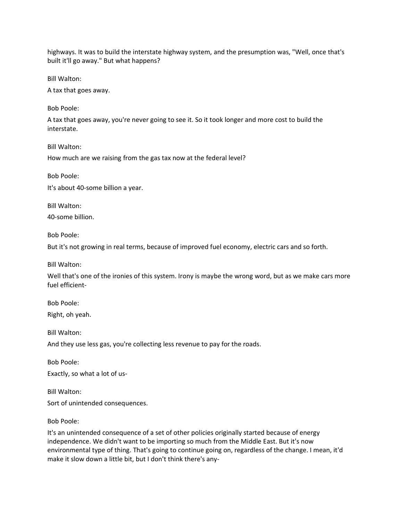highways. It was to build the interstate highway system, and the presumption was, "Well, once that's built it'll go away." But what happens?

Bill Walton:

A tax that goes away.

Bob Poole:

A tax that goes away, you're never going to see it. So it took longer and more cost to build the interstate.

Bill Walton:

How much are we raising from the gas tax now at the federal level?

Bob Poole:

It's about 40-some billion a year.

Bill Walton:

40-some billion.

Bob Poole:

But it's not growing in real terms, because of improved fuel economy, electric cars and so forth.

Bill Walton:

Well that's one of the ironies of this system. Irony is maybe the wrong word, but as we make cars more fuel efficient-

Bob Poole:

Right, oh yeah.

Bill Walton:

And they use less gas, you're collecting less revenue to pay for the roads.

Bob Poole:

Exactly, so what a lot of us-

Bill Walton:

Sort of unintended consequences.

Bob Poole:

It's an unintended consequence of a set of other policies originally started because of energy independence. We didn't want to be importing so much from the Middle East. But it's now environmental type of thing. That's going to continue going on, regardless of the change. I mean, it'd make it slow down a little bit, but I don't think there's any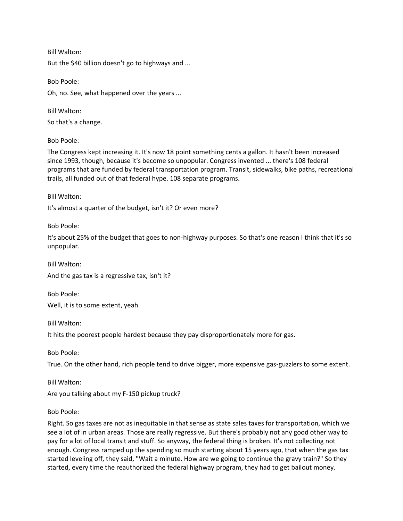Bill Walton: But the \$40 billion doesn't go to highways and ...

Bob Poole: Oh, no. See, what happened over the years ...

Bill Walton:

So that's a change.

Bob Poole:

The Congress kept increasing it. It's now 18 point something cents a gallon. It hasn't been increased since 1993, though, because it's become so unpopular. Congress invented ... there's 108 federal programs that are funded by federal transportation program. Transit, sidewalks, bike paths, recreational trails, all funded out of that federal hype. 108 separate programs.

Bill Walton:

It's almost a quarter of the budget, isn't it? Or even more?

Bob Poole:

It's about 25% of the budget that goes to non-highway purposes. So that's one reason I think that it's so unpopular.

Bill Walton: And the gas tax is a regressive tax, isn't it?

Bob Poole: Well, it is to some extent, yeah.

Bill Walton:

It hits the poorest people hardest because they pay disproportionately more for gas.

Bob Poole:

True. On the other hand, rich people tend to drive bigger, more expensive gas-guzzlers to some extent.

Bill Walton: Are you talking about my F-150 pickup truck?

Bob Poole:

Right. So gas taxes are not as inequitable in that sense as state sales taxes for transportation, which we see a lot of in urban areas. Those are really regressive. But there's probably not any good other way to pay for a lot of local transit and stuff. So anyway, the federal thing is broken. It's not collecting not enough. Congress ramped up the spending so much starting about 15 years ago, that when the gas tax started leveling off, they said, "Wait a minute. How are we going to continue the gravy train?" So they started, every time the reauthorized the federal highway program, they had to get bailout money.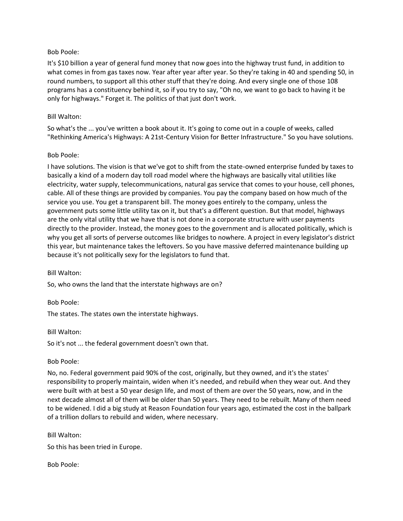It's \$10 billion a year of general fund money that now goes into the highway trust fund, in addition to what comes in from gas taxes now. Year after year after year. So they're taking in 40 and spending 50, in round numbers, to support all this other stuff that they're doing. And every single one of those 108 programs has a constituency behind it, so if you try to say, "Oh no, we want to go back to having it be only for highways." Forget it. The politics of that just don't work.

#### Bill Walton:

So what's the ... you've written a book about it. It's going to come out in a couple of weeks, called "Rethinking America's Highways: A 21st-Century Vision for Better Infrastructure." So you have solutions.

#### Bob Poole:

I have solutions. The vision is that we've got to shift from the state-owned enterprise funded by taxes to basically a kind of a modern day toll road model where the highways are basically vital utilities like electricity, water supply, telecommunications, natural gas service that comes to your house, cell phones, cable. All of these things are provided by companies. You pay the company based on how much of the service you use. You get a transparent bill. The money goes entirely to the company, unless the government puts some little utility tax on it, but that's a different question. But that model, highways are the only vital utility that we have that is not done in a corporate structure with user payments directly to the provider. Instead, the money goes to the government and is allocated politically, which is why you get all sorts of perverse outcomes like bridges to nowhere. A project in every legislator's district this year, but maintenance takes the leftovers. So you have massive deferred maintenance building up because it's not politically sexy for the legislators to fund that.

Bill Walton:

So, who owns the land that the interstate highways are on?

Bob Poole:

The states. The states own the interstate highways.

Bill Walton:

So it's not ... the federal government doesn't own that.

Bob Poole:

No, no. Federal government paid 90% of the cost, originally, but they owned, and it's the states' responsibility to properly maintain, widen when it's needed, and rebuild when they wear out. And they were built with at best a 50 year design life, and most of them are over the 50 years, now, and in the next decade almost all of them will be older than 50 years. They need to be rebuilt. Many of them need to be widened. I did a big study at Reason Foundation four years ago, estimated the cost in the ballpark of a trillion dollars to rebuild and widen, where necessary.

Bill Walton:

So this has been tried in Europe.

Bob Poole: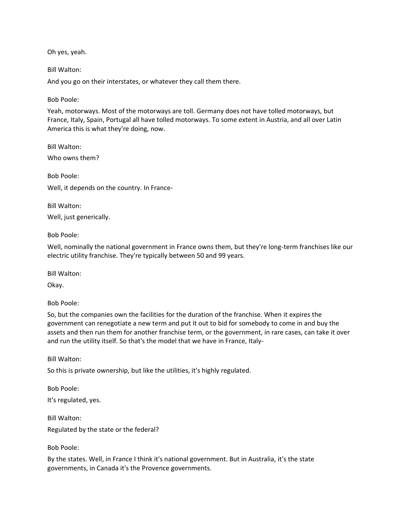Oh yes, yeah.

Bill Walton:

And you go on their interstates, or whatever they call them there.

Bob Poole:

Yeah, motorways. Most of the motorways are toll. Germany does not have tolled motorways, but France, Italy, Spain, Portugal all have tolled motorways. To some extent in Austria, and all over Latin America this is what they're doing, now.

Bill Walton:

Who owns them?

Bob Poole: Well, it depends on the country. In France-

Bill Walton:

Well, just generically.

Bob Poole:

Well, nominally the national government in France owns them, but they're long-term franchises like our electric utility franchise. They're typically between 50 and 99 years.

Bill Walton:

Okay.

Bob Poole:

So, but the companies own the facilities for the duration of the franchise. When it expires the government can renegotiate a new term and put it out to bid for somebody to come in and buy the assets and then run them for another franchise term, or the government, in rare cases, can take it over and run the utility itself. So that's the model that we have in France, Italy-

Bill Walton:

So this is private ownership, but like the utilities, it's highly regulated.

Bob Poole: It's regulated, yes.

Bill Walton:

Regulated by the state or the federal?

Bob Poole:

By the states. Well, in France I think it's national government. But in Australia, it's the state governments, in Canada it's the Provence governments.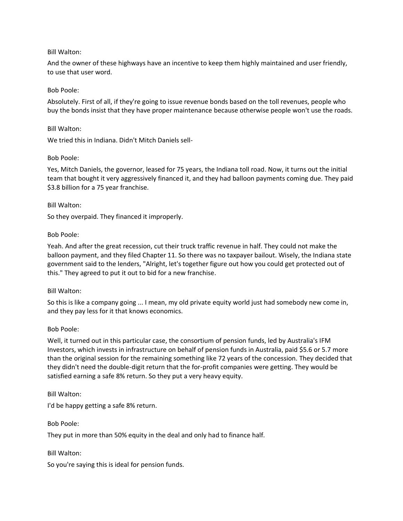And the owner of these highways have an incentive to keep them highly maintained and user friendly, to use that user word.

## Bob Poole:

Absolutely. First of all, if they're going to issue revenue bonds based on the toll revenues, people who buy the bonds insist that they have proper maintenance because otherwise people won't use the roads.

## Bill Walton:

We tried this in Indiana. Didn't Mitch Daniels sell-

## Bob Poole:

Yes, Mitch Daniels, the governor, leased for 75 years, the Indiana toll road. Now, it turns out the initial team that bought it very aggressively financed it, and they had balloon payments coming due. They paid \$3.8 billion for a 75 year franchise.

#### Bill Walton:

So they overpaid. They financed it improperly.

#### Bob Poole:

Yeah. And after the great recession, cut their truck traffic revenue in half. They could not make the balloon payment, and they filed Chapter 11. So there was no taxpayer bailout. Wisely, the Indiana state government said to the lenders, "Alright, let's together figure out how you could get protected out of this." They agreed to put it out to bid for a new franchise.

## Bill Walton:

So this is like a company going ... I mean, my old private equity world just had somebody new come in, and they pay less for it that knows economics.

## Bob Poole:

Well, it turned out in this particular case, the consortium of pension funds, led by Australia's IFM Investors, which invests in infrastructure on behalf of pension funds in Australia, paid \$5.6 or 5.7 more than the original session for the remaining something like 72 years of the concession. They decided that they didn't need the double-digit return that the for-profit companies were getting. They would be satisfied earning a safe 8% return. So they put a very heavy equity.

#### Bill Walton:

I'd be happy getting a safe 8% return.

## Bob Poole:

They put in more than 50% equity in the deal and only had to finance half.

Bill Walton:

So you're saying this is ideal for pension funds.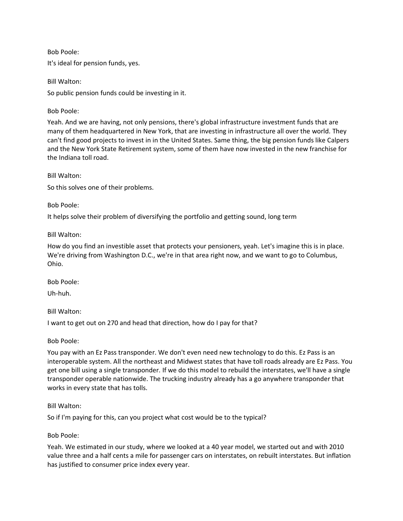Bob Poole: It's ideal for pension funds, yes.

Bill Walton:

So public pension funds could be investing in it.

Bob Poole:

Yeah. And we are having, not only pensions, there's global infrastructure investment funds that are many of them headquartered in New York, that are investing in infrastructure all over the world. They can't find good projects to invest in in the United States. Same thing, the big pension funds like Calpers and the New York State Retirement system, some of them have now invested in the new franchise for the Indiana toll road.

Bill Walton:

So this solves one of their problems.

Bob Poole:

It helps solve their problem of diversifying the portfolio and getting sound, long term

Bill Walton:

How do you find an investible asset that protects your pensioners, yeah. Let's imagine this is in place. We're driving from Washington D.C., we're in that area right now, and we want to go to Columbus, Ohio.

Bob Poole:

Uh-huh.

Bill Walton:

I want to get out on 270 and head that direction, how do I pay for that?

Bob Poole:

You pay with an Ez Pass transponder. We don't even need new technology to do this. Ez Pass is an interoperable system. All the northeast and Midwest states that have toll roads already are Ez Pass. You get one bill using a single transponder. If we do this model to rebuild the interstates, we'll have a single transponder operable nationwide. The trucking industry already has a go anywhere transponder that works in every state that has tolls.

Bill Walton:

So if I'm paying for this, can you project what cost would be to the typical?

Bob Poole:

Yeah. We estimated in our study, where we looked at a 40 year model, we started out and with 2010 value three and a half cents a mile for passenger cars on interstates, on rebuilt interstates. But inflation has justified to consumer price index every year.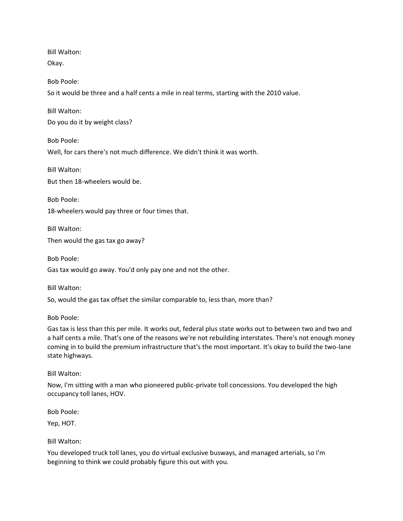Bill Walton: Okay.

Bob Poole:

So it would be three and a half cents a mile in real terms, starting with the 2010 value.

Bill Walton: Do you do it by weight class?

Bob Poole:

Well, for cars there's not much difference. We didn't think it was worth.

Bill Walton: But then 18-wheelers would be.

Bob Poole: 18-wheelers would pay three or four times that.

Bill Walton: Then would the gas tax go away?

Bob Poole:

Gas tax would go away. You'd only pay one and not the other.

Bill Walton:

So, would the gas tax offset the similar comparable to, less than, more than?

Bob Poole:

Gas tax is less than this per mile. It works out, federal plus state works out to between two and two and a half cents a mile. That's one of the reasons we're not rebuilding interstates. There's not enough money coming in to build the premium infrastructure that's the most important. It's okay to build the two-lane state highways.

Bill Walton:

Now, I'm sitting with a man who pioneered public-private toll concessions. You developed the high occupancy toll lanes, HOV.

Bob Poole:

Yep, HOT.

Bill Walton:

You developed truck toll lanes, you do virtual exclusive busways, and managed arterials, so I'm beginning to think we could probably figure this out with you.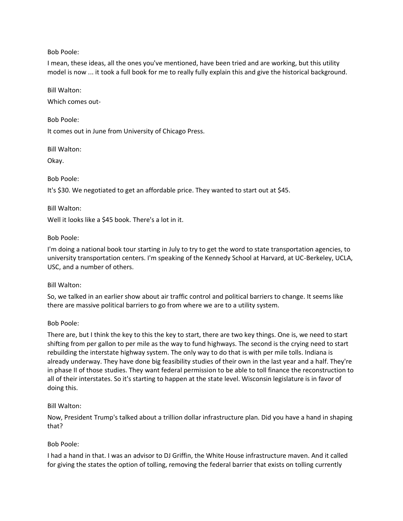I mean, these ideas, all the ones you've mentioned, have been tried and are working, but this utility model is now ... it took a full book for me to really fully explain this and give the historical background.

Bill Walton:

Which comes out-

Bob Poole:

It comes out in June from University of Chicago Press.

Bill Walton:

Okay.

Bob Poole:

It's \$30. We negotiated to get an affordable price. They wanted to start out at \$45.

Bill Walton:

Well it looks like a \$45 book. There's a lot in it.

## Bob Poole:

I'm doing a national book tour starting in July to try to get the word to state transportation agencies, to university transportation centers. I'm speaking of the Kennedy School at Harvard, at UC-Berkeley, UCLA, USC, and a number of others.

Bill Walton:

So, we talked in an earlier show about air traffic control and political barriers to change. It seems like there are massive political barriers to go from where we are to a utility system.

## Bob Poole:

There are, but I think the key to this the key to start, there are two key things. One is, we need to start shifting from per gallon to per mile as the way to fund highways. The second is the crying need to start rebuilding the interstate highway system. The only way to do that is with per mile tolls. Indiana is already underway. They have done big feasibility studies of their own in the last year and a half. They're in phase II of those studies. They want federal permission to be able to toll finance the reconstruction to all of their interstates. So it's starting to happen at the state level. Wisconsin legislature is in favor of doing this.

# Bill Walton:

Now, President Trump's talked about a trillion dollar infrastructure plan. Did you have a hand in shaping that?

# Bob Poole:

I had a hand in that. I was an advisor to DJ Griffin, the White House infrastructure maven. And it called for giving the states the option of tolling, removing the federal barrier that exists on tolling currently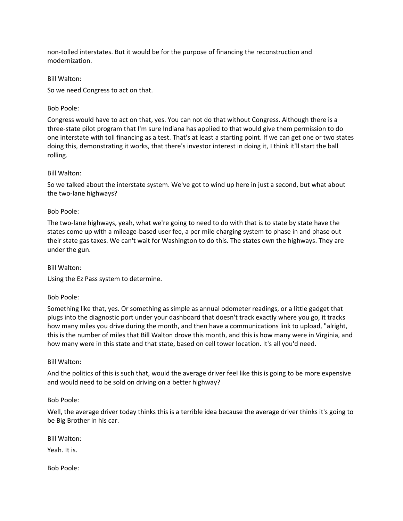non-tolled interstates. But it would be for the purpose of financing the reconstruction and modernization.

Bill Walton:

So we need Congress to act on that.

## Bob Poole:

Congress would have to act on that, yes. You can not do that without Congress. Although there is a three-state pilot program that I'm sure Indiana has applied to that would give them permission to do one interstate with toll financing as a test. That's at least a starting point. If we can get one or two states doing this, demonstrating it works, that there's investor interest in doing it, I think it'll start the ball rolling.

## Bill Walton:

So we talked about the interstate system. We've got to wind up here in just a second, but what about the two-lane highways?

## Bob Poole:

The two-lane highways, yeah, what we're going to need to do with that is to state by state have the states come up with a mileage-based user fee, a per mile charging system to phase in and phase out their state gas taxes. We can't wait for Washington to do this. The states own the highways. They are under the gun.

Bill Walton:

Using the Ez Pass system to determine.

## Bob Poole:

Something like that, yes. Or something as simple as annual odometer readings, or a little gadget that plugs into the diagnostic port under your dashboard that doesn't track exactly where you go, it tracks how many miles you drive during the month, and then have a communications link to upload, "alright, this is the number of miles that Bill Walton drove this month, and this is how many were in Virginia, and how many were in this state and that state, based on cell tower location. It's all you'd need.

## Bill Walton:

And the politics of this is such that, would the average driver feel like this is going to be more expensive and would need to be sold on driving on a better highway?

## Bob Poole:

Well, the average driver today thinks this is a terrible idea because the average driver thinks it's going to be Big Brother in his car.

Bill Walton:

Yeah. It is.

Bob Poole: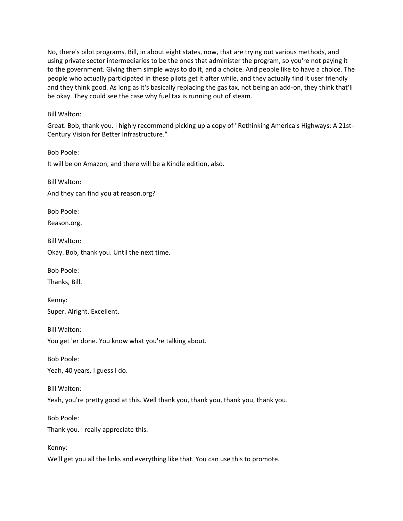No, there's pilot programs, Bill, in about eight states, now, that are trying out various methods, and using private sector intermediaries to be the ones that administer the program, so you're not paying it to the government. Giving them simple ways to do it, and a choice. And people like to have a choice. The people who actually participated in these pilots get it after while, and they actually find it user friendly and they think good. As long as it's basically replacing the gas tax, not being an add-on, they think that'll be okay. They could see the case why fuel tax is running out of steam.

## Bill Walton:

Great. Bob, thank you. I highly recommend picking up a copy of "Rethinking America's Highways: A 21st-Century Vision for Better Infrastructure."

Bob Poole: It will be on Amazon, and there will be a Kindle edition, also.

Bill Walton:

And they can find you at reason.org?

Bob Poole:

Reason.org.

Bill Walton: Okay. Bob, thank you. Until the next time.

Bob Poole:

Thanks, Bill.

Kenny: Super. Alright. Excellent.

Bill Walton: You get 'er done. You know what you're talking about.

Bob Poole:

Yeah, 40 years, I guess I do.

Bill Walton:

Yeah, you're pretty good at this. Well thank you, thank you, thank you, thank you.

Bob Poole:

Thank you. I really appreciate this.

Kenny:

We'll get you all the links and everything like that. You can use this to promote.